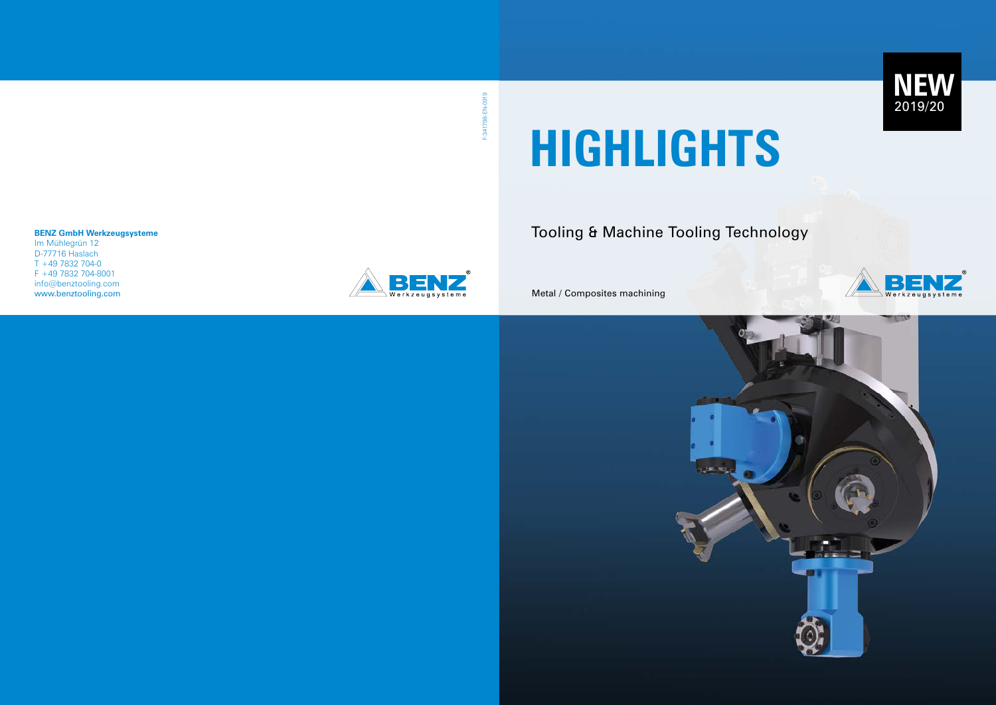### **BENZ GmbH Werkzeugsysteme**

F-341798-EN-0919 F-341798-EN-0919

Im Mühlegrün 12 D-77716 Haslach T +49 7832 704-0 F +49 7832 704-8001 info@benztooling.com www.benztooling.com



# Tooling & Machine Tooling Technology

Metal / Composites machining



# **HIGHLIGHTS**